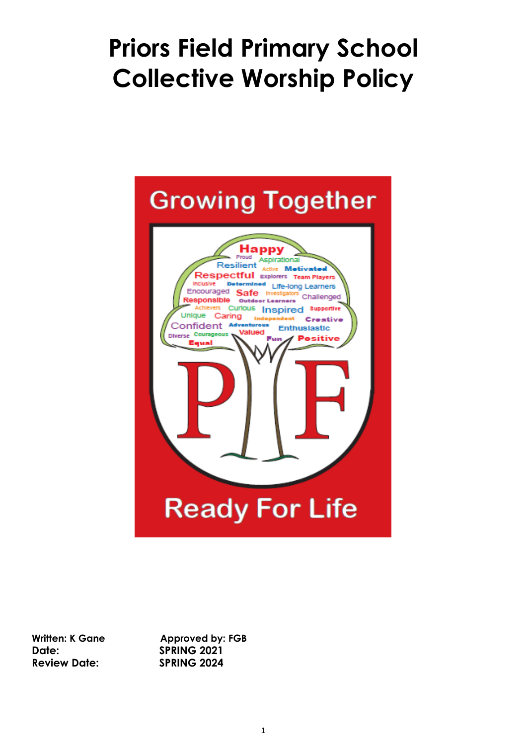# **Priors Field Primary School Collective Worship Policy**



**Date: SPRING 2021 Review Date: SPRING 2024**

Written: K Gane **Approved by: FGB**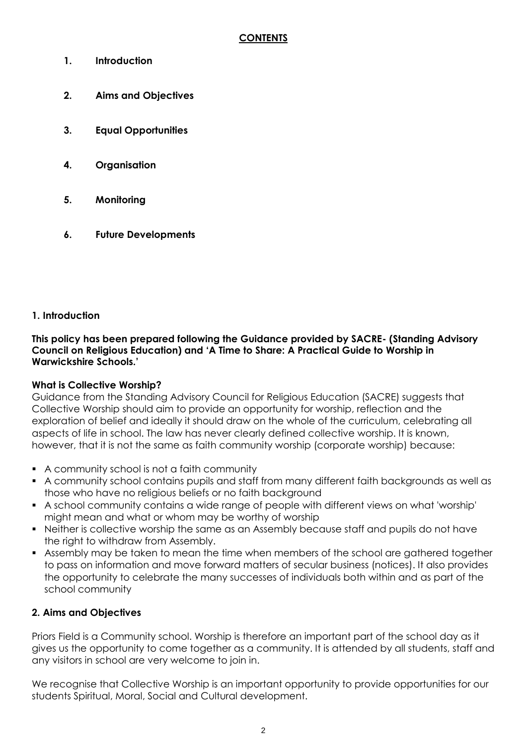- **1. Introduction**
- **2. Aims and Objectives**
- **3. Equal Opportunities**
- **4. Organisation**
- **5. Monitoring**
- **6. Future Developments**

## **1. Introduction**

**This policy has been prepared following the Guidance provided by SACRE- (Standing Advisory Council on Religious Education) and 'A Time to Share: A Practical Guide to Worship in Warwickshire Schools.'**

### **What is Collective Worship?**

Guidance from the Standing Advisory Council for Religious Education (SACRE) suggests that Collective Worship should aim to provide an opportunity for worship, reflection and the exploration of belief and ideally it should draw on the whole of the curriculum, celebrating all aspects of life in school. The law has never clearly defined collective worship. It is known, however, that it is not the same as faith community worship (corporate worship) because:

- A community school is not a faith community
- A community school contains pupils and staff from many different faith backgrounds as well as those who have no religious beliefs or no faith background
- A school community contains a wide range of people with different views on what 'worship' might mean and what or whom may be worthy of worship
- Neither is collective worship the same as an Assembly because staff and pupils do not have the right to withdraw from Assembly.
- Assembly may be taken to mean the time when members of the school are gathered together to pass on information and move forward matters of secular business (notices). It also provides the opportunity to celebrate the many successes of individuals both within and as part of the school community

## **2. Aims and Objectives**

Priors Field is a Community school. Worship is therefore an important part of the school day as it gives us the opportunity to come together as a community. It is attended by all students, staff and any visitors in school are very welcome to join in.

We recognise that Collective Worship is an important opportunity to provide opportunities for our students Spiritual, Moral, Social and Cultural development.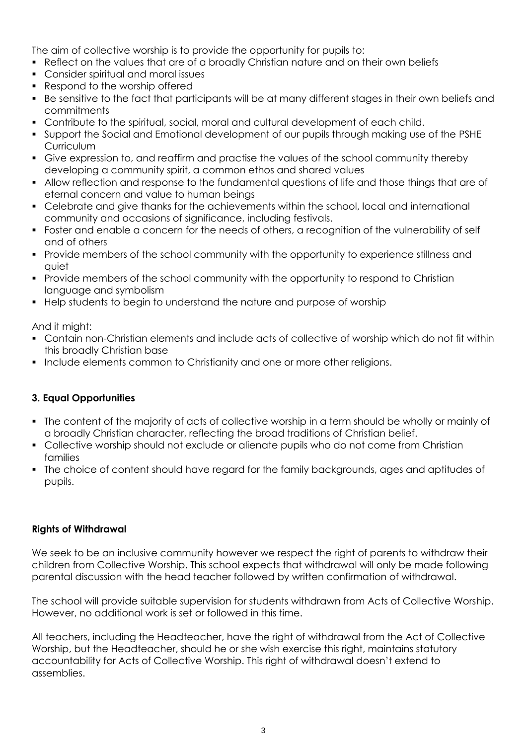The aim of collective worship is to provide the opportunity for pupils to:

- Reflect on the values that are of a broadly Christian nature and on their own beliefs
- Consider spiritual and moral issues
- Respond to the worship offered
- Be sensitive to the fact that participants will be at many different stages in their own beliefs and commitments
- Contribute to the spiritual, social, moral and cultural development of each child.
- Support the Social and Emotional development of our pupils through making use of the PSHE **Curriculum**
- Give expression to, and reaffirm and practise the values of the school community thereby developing a community spirit, a common ethos and shared values
- Allow reflection and response to the fundamental questions of life and those things that are of eternal concern and value to human beings
- Celebrate and give thanks for the achievements within the school, local and international community and occasions of significance, including festivals.
- Foster and enable a concern for the needs of others, a recognition of the vulnerability of self and of others
- Provide members of the school community with the opportunity to experience stillness and quiet
- Provide members of the school community with the opportunity to respond to Christian language and symbolism
- **Help students to begin to understand the nature and purpose of worship**

And it might:

- Contain non-Christian elements and include acts of collective of worship which do not fit within this broadly Christian base
- **Include elements common to Christianity and one or more other religions.**

### **3. Equal Opportunities**

- The content of the majority of acts of collective worship in a term should be wholly or mainly of a broadly Christian character, reflecting the broad traditions of Christian belief.
- Collective worship should not exclude or alienate pupils who do not come from Christian families
- The choice of content should have regard for the family backgrounds, ages and aptitudes of pupils.

### **Rights of Withdrawal**

We seek to be an inclusive community however we respect the right of parents to withdraw their children from Collective Worship. This school expects that withdrawal will only be made following parental discussion with the head teacher followed by written confirmation of withdrawal.

The school will provide suitable supervision for students withdrawn from Acts of Collective Worship. However, no additional work is set or followed in this time.

All teachers, including the Headteacher, have the right of withdrawal from the Act of Collective Worship, but the Headteacher, should he or she wish exercise this right, maintains statutory accountability for Acts of Collective Worship. This right of withdrawal doesn't extend to assemblies.